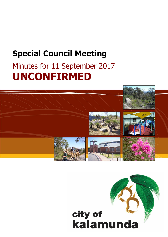# **Special Council Meeting**

# Minutes for 11 September 2017 **UNCONFIRMED**



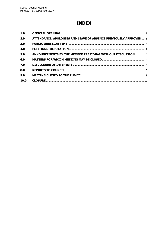# **INDEX**

| 1.0  |                                                                  |  |
|------|------------------------------------------------------------------|--|
| 2.0  | ATTENDANCE, APOLOGIES AND LEAVE OF ABSENCE PREVIOUSLY APPROVED 3 |  |
| 3.0  |                                                                  |  |
| 4.0  |                                                                  |  |
| 5.0  | ANNOUNCEMENTS BY THE MEMBER PRESIDING WITHOUT DISCUSSION 4       |  |
| 6.0  |                                                                  |  |
| 7.0  |                                                                  |  |
| 8.0  |                                                                  |  |
| 9.0  |                                                                  |  |
| 10.0 |                                                                  |  |
|      |                                                                  |  |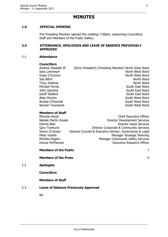# **MINUTES**

# <span id="page-2-0"></span>**1.0 OFFICIAL OPENING**

The Presiding Member opened the meeting 7:00pm, welcoming Councillors, Staff and Members of the Public Gallery.

#### <span id="page-2-1"></span>**2.0 ATTENDANCE, APOLOGIES AND LEAVE OF ABSENCE PREVIOUSLY APPROVED**

#### 2.1 **Attendance**

#### **Councillors**

Andrew Waddell JP (Shire President) (Presiding Member) North West Ward Sara Lohmeyer North West Ward Dylan O'Connor North West Ward Sue Bilich North Ward Tracy Destree North Ward Michael Fernie South East Ward John Giardina South East Ward South East Ward Geoff Stallard South East Ward Allan Morton **South West Ward** Brooke O'Donnell South West Ward Noreen Townsend South West Ward

# **Members of Staff**

| Rhonda Hardy         | <b>Chief Executive Officer</b>                          |
|----------------------|---------------------------------------------------------|
| Natalie Martin Goode | <b>Director Development Services</b>                    |
| Dennis Blair         | <b>Director Asset Services</b>                          |
| Gary Ticehurst       | Director Corporate & Community Services                 |
| Simon Di Rosso       | General Counsel & Executive Advisor, Governance & Legal |
| Peter Varelis        | Manager Strategic Planning                              |
| Michele Rogers       | <b>Manager Community Safety Services</b>                |
| Donna McPherson      | <b>Executive Research Officer</b>                       |
|                      |                                                         |

**Members of the Public** 7

#### **Members of the Press** 0

2.2 **Apologies**

**Councillors**

#### **Members of Staff**

## 2.3 **Leave of Absence Previously Approved**

Nil.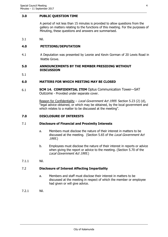### <span id="page-3-0"></span>**3.0 PUBLIC QUESTION TIME**

A period of not less than 15 minutes is provided to allow questions from the gallery on matters relating to the functions of this meeting. For the purposes of Minuting, these questions and answers are summarised.

3.1 Nil.

# <span id="page-3-1"></span>**4.0 PETITIONS/DEPUTATION**

4.1 A Deputation was presented by Leonie and Kevin Gorman of 20 Lewis Road in Wattle Grove.

#### <span id="page-3-2"></span>**5.0 ANNOUNCEMENTS BY THE MEMBER PRESIDING WITHOUT DISCUSSION**

5.1

### <span id="page-3-3"></span>**6.0 MATTERS FOR WHICH MEETING MAY BE CLOSED**

6.1 **SCM 14. CONFIDENTIAL ITEM** Optus Communication Tower—SAT Outcome - Provided under separate cover.

> Reason for Confidentiality – Local Government Act 1995: Section 5.23 (2) (d), "legal advice obtained, or which may be obtained, by the local government and which relates to a matter to be discussed at the meeting".

#### <span id="page-3-4"></span>**7.0 DISCLOSURE OF INTERESTS**

#### 7.1 **Disclosure of Financial and Proximity Interests**

- a. Members must disclose the nature of their interest in matters to be discussed at the meeting. (Section 5.65 of the Local Government Act 1995.)
- b. Employees must disclose the nature of their interest in reports or advice when giving the report or advice to the meeting. (Section 5.70 of the Local Government Act 1995.)
- 7.1.1 Nil.

#### 7.2 **Disclosure of Interest Affecting Impartiality**

- a. Members and staff must disclose their interest in matters to be discussed at the meeting in respect of which the member or employee had given or will give advice.
- 7.2.1 Nil.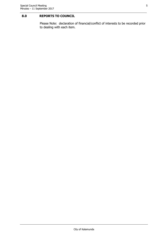# <span id="page-4-0"></span>**8.0 REPORTS TO COUNCIL**

Please Note: declaration of financial/conflict of interests to be recorded prior to dealing with each item.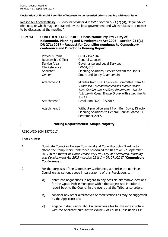#### **Declaration of financial / conflict of interests to be recorded prior to dealing with each item.**

Reason for Confidentiality - Local Government Act 1995: Section 5.23 (2) (d), "legal advice obtained, or which may be obtained, by the local government and which relates to a matter to be discussed at the meeting".

#### **SCM 14 CONFIDENTIAL REPORT - Optus Mobile Pty Ltd v City of Kalamunda, Planning and Development Act 2005 – section 251(1) – DR 271/2017 - Request for Councillor nominees to Compulsory conference and Directions Hearing Report**

| Previous Items<br>Responsible Officer<br>Service Area<br>File Reference<br>Applicant<br>Owner | OCM 215/2016<br><b>General Counsel</b><br>Governance and Legal Services<br>LW-04/012<br>Planning Solutions, Service Stream for Optus<br>Stuart and Jenny Chamberlain                                                                    |
|-----------------------------------------------------------------------------------------------|-----------------------------------------------------------------------------------------------------------------------------------------------------------------------------------------------------------------------------------------|
| Attachment 1<br>Attachment 2                                                                  | Minutes from D & A Services Committee Item 43<br>'Proposed Telecommunications Mobile Phone<br>Base Station and Ancillary Equipment - Lot 39<br>(12) Lewis Road, Wattle Grove' with attachments<br>$1 - 11$ .<br>Resolution OCM 127/2017 |
|                                                                                               |                                                                                                                                                                                                                                         |
| Attachment 3                                                                                  | Without prejudice email from Ben Doyle, Director<br>Planning Solutions to General Counsel dated 11<br>September 2017.                                                                                                                   |

#### **Voting Requirements: Simple Majority**

# RESOLVED SCM 157/2017

That Council:

- 1. Nominate Councillor Noreen Townsend and Councillor John Giardina to attend the Compulsory Conference scheduled for 10 am on 22 September 2017 in the matter of Optus Mobile Pty Ltd v City of Kalamunda, Planning and Development Act 2005 – section 251(1) – DR 271/2017 (**Compulsory Conference**).
- 2. For the purposes of the Compulsory Conference, authorise the nominee Councillors as set out above in paragraph 1 of this Resolution, to:
	- a) enter into negotiations in regard to any possible alternative locations for the Optus Mobile Monopole within the subject site in order to report back to the Council in the event that the Tribunal so orders;
	- b) consider any other alternatives or modifications as may be suggested by the Applicant; and
	- c) engage in discussions about alternatives sites for the infrastructure with the Applicant pursuant to clause 2 of Council Resolution OCM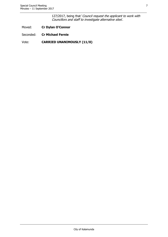127/2017, being that 'Council request the applicant to work with Councillors and staff to investigate alternative sites'.

- Moved: **Cr Dylan O'Connor**
- Seconded: **Cr Michael Fernie**
- Vote: **CARRIED UNANIMOUSLY (11/0)**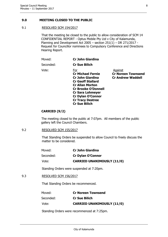# <span id="page-7-0"></span>**9.0 MEETING CLOSED TO THE PUBLIC**

# 9.1 RESOLVED SCM 154/2017

That the meeting be closed to the public to allow consideration of SCM 14 CONFIDENTIAL REPORT - Optus Mobile Pty Ltd v City of Kalamunda, Planning and Development Act 2005 – section  $251(1)$  – DR 271/2017 -Request for Councillor nominees to Compulsory Conference and Directions Hearing Report.

| Moved:    | <b>Cr John Giardina</b>                                                                                                                                                                                                                                  |                                                                  |
|-----------|----------------------------------------------------------------------------------------------------------------------------------------------------------------------------------------------------------------------------------------------------------|------------------------------------------------------------------|
| Seconded: | <b>Cr Sue Bilich</b>                                                                                                                                                                                                                                     |                                                                  |
| Vote:     | For<br><b>Cr Michael Fernie</b><br><b>Cr John Giardina</b><br><b>Cr Geoff Stallard</b><br><b>Cr Allan Morton</b><br><b>Cr Brooke O'Donnell</b><br><b>Cr Sara Lohmeyer</b><br><b>Cr Dylan O'Connor</b><br><b>Cr Tracy Destree</b><br><b>Cr Sue Bilich</b> | Against<br><b>Cr Noreen Townsend</b><br><b>Cr Andrew Waddell</b> |

# **CARRIED (9/2)**

The meeting closed to the public at 7:07pm. All members of the public gallery left the Council Chambers.

#### 9.2 RESOLVED SCM 155/2017

That Standing Orders be suspended to allow Council to freely discuss the matter to be considered.

| Moved:    | <b>Cr John Giardina</b>           |
|-----------|-----------------------------------|
| Seconded: | <b>Cr Dylan O'Connor</b>          |
| Vote:     | <b>CARRIED UNANIMOUSLY (11/0)</b> |

Standing Orders were suspended at 7:20pm.

# 9.3 RESOLVED SCM 156/2017

That Standing Orders be recommenced.

| Moved:    | <b>Cr Noreen Townsend</b>         |
|-----------|-----------------------------------|
| Seconded: | <b>Cr Sue Bilich</b>              |
| Vote:     | <b>CARRIED UNANIMOUSLY (11/0)</b> |

Standing Orders were recommenced at 7:25pm.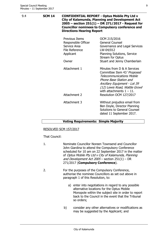| 9.4 | <b>SCM 14</b> | <b>CONFIDENTIAL REPORT - Optus Mobile Pty Ltd v</b><br><b>City of Kalamunda, Planning and Development Act</b><br>2005 - section 251(1) - DR 271/2017 - Request for<br><b>Councillor nominees to Compulsory conference and</b><br><b>Directions Hearing Report</b> |                                                                                                                                                                                                                                                     |
|-----|---------------|-------------------------------------------------------------------------------------------------------------------------------------------------------------------------------------------------------------------------------------------------------------------|-----------------------------------------------------------------------------------------------------------------------------------------------------------------------------------------------------------------------------------------------------|
|     |               | Previous Items<br>Responsible Officer<br>Service Area<br>File Reference<br>Applicant                                                                                                                                                                              | OCM 215/2016<br><b>General Counsel</b><br>Governance and Legal Services<br>LW-04/012<br>Planning Solutions, Service<br>Stream for Optus                                                                                                             |
|     |               | Owner                                                                                                                                                                                                                                                             | Stuart and Jenny Chamberlain                                                                                                                                                                                                                        |
|     |               | Attachment 1<br>Attachment 2                                                                                                                                                                                                                                      | Minutes from D & A Services<br>Committee Item 43 'Proposed<br><b>Telecommunications Mobile</b><br>Phone Base Station and<br>Ancillary Equipment - Lot 39<br>(12) Lewis Road, Wattle Grove<br>with attachments $1 - 11$ .<br>Resolution OCM 127/2017 |
|     |               | Attachment 3                                                                                                                                                                                                                                                      | Without prejudice email from<br>Ben Doyle, Director Planning<br>Solutions to General Counsel<br>dated 11 September 2017.                                                                                                                            |

#### **Voting Requirements: Simple Majority**

#### RESOLVED SCM 157/2017

#### That Council:

- 1. Nominate Councillor Noreen Townsend and Councillor John Giardina to attend the Compulsory Conference scheduled for 10 am on 22 September 2017 in the matter of Optus Mobile Pty Ltd v City of Kalamunda, Planning and Development Act  $2005 -$  section  $251(1) - DR$ 271/2017 (**Compulsory Conference**).
- 2. For the purposes of the Compulsory Conference, authorise the nominee Councillors as set out above in paragraph 1 of this Resolution, to:
	- a) enter into negotiations in regard to any possible alternative locations for the Optus Mobile Monopole within the subject site in order to report back to the Council in the event that the Tribunal so orders;
	- b) consider any other alternatives or modifications as may be suggested by the Applicant; and